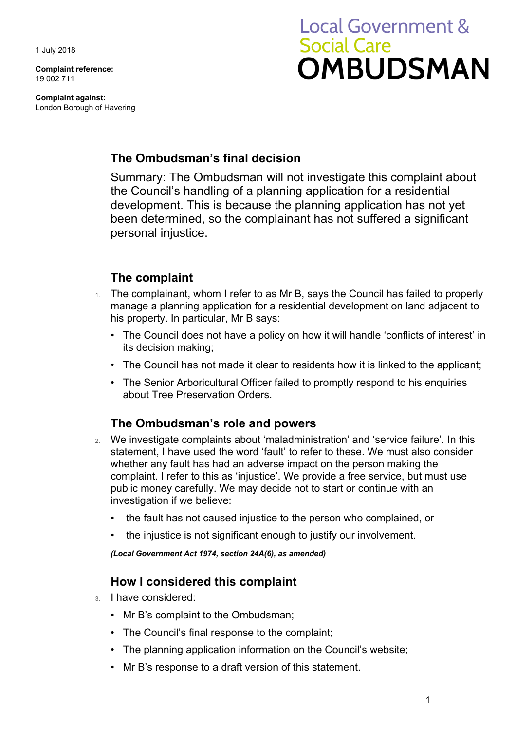1 July 2018

**Complaint reference:**  19 002 711

**Complaint against:**  London Borough of Havering

# **Local Government & Social Care** OMBUDSMAN

#### **The Ombudsman's final decision**

 development. This is because the planning application has not yet been determined, so the complainant has not suffered a significant Summary: The Ombudsman will not investigate this complaint about the Council's handling of a planning application for a residential personal injustice.

# **The complaint**

- 1. The complainant, whom I refer to as Mr B, says the Council has failed to properly manage a planning application for a residential development on land adjacent to his property. In particular, Mr B says:
	- The Council does not have a policy on how it will handle 'conflicts of interest' in its decision making;
	- The Council has not made it clear to residents how it is linked to the applicant;
	- The Senior Arboricultural Officer failed to promptly respond to his enquiries about Tree Preservation Orders.

## **The Ombudsman's role and powers**

- 2. We investigate complaints about 'maladministration' and 'service failure'. In this statement, I have used the word 'fault' to refer to these. We must also consider whether any fault has had an adverse impact on the person making the complaint. I refer to this as 'injustice'. We provide a free service, but must use public money carefully. We may decide not to start or continue with an investigation if we believe:
	- the fault has not caused injustice to the person who complained, or
	- the injustice is not significant enough to justify our involvement.

*(Local Government Act 1974, section 24A(6), as amended)* 

## **How I considered this complaint**

- 3. I have considered:
	- Mr B's complaint to the Ombudsman;
	- The Council's final response to the complaint;
	- The planning application information on the Council's website;
	- Mr B's response to a draft version of this statement.